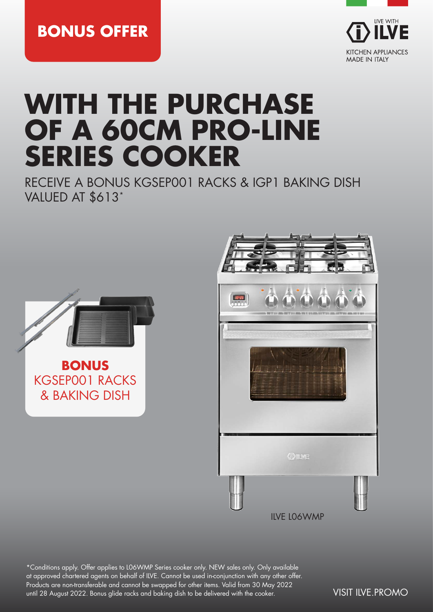**BONUS OFFER**



# **WITH THE PURCHASE OF A 60CM PRO-LINE SERIES COOKER**

RECEIVE A BONUS KGSEP001 RACKS & IGP1 BAKING DISH VALUED AT \$613\*





\*Conditions apply. Offer applies to L06WMP Series cooker only. NEW sales only. Only available at approved chartered agents on behalf of ILVE. Cannot be used in-conjunction with any other offer. Products are non-transferable and cannot be swapped for other items. Valid from 30 May 2022 until 28 August 2022. Bonus glide racks and baking dish to be delivered with the cooker. VISIT ILVE.PROMO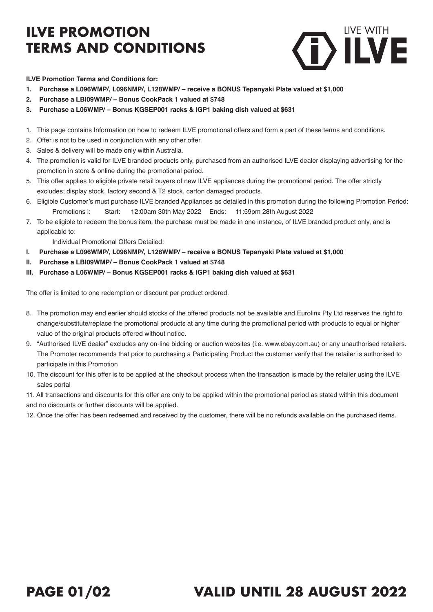# **ILVE PROMOTION TERMS AND CONDITIONS**



#### **ILVE Promotion Terms and Conditions for:**

- **1. Purchase a L096WMP/, L096NMP/, L128WMP/ receive a BONUS Tepanyaki Plate valued at \$1,000**
- **2. Purchase a LBI09WMP/ Bonus CookPack 1 valued at \$748**
- **3. Purchase a L06WMP/ Bonus KGSEP001 racks & IGP1 baking dish valued at \$631**
- 1. This page contains Information on how to redeem ILVE promotional offers and form a part of these terms and conditions.
- 2. Offer is not to be used in conjunction with any other offer.
- 3. Sales & delivery will be made only within Australia.
- 4. The promotion is valid for ILVE branded products only, purchased from an authorised ILVE dealer displaying advertising for the promotion in store & online during the promotional period.
- 5. This offer applies to eligible private retail buyers of new ILVE appliances during the promotional period. The offer strictly excludes; display stock, factory second & T2 stock, carton damaged products.
- 6. Eligible Customer's must purchase ILVE branded Appliances as detailed in this promotion during the following Promotion Period: Promotions i: Start: 12:00am 30th May 2022 Ends: 11:59pm 28th August 2022
- 7. To be eligible to redeem the bonus item, the purchase must be made in one instance, of ILVE branded product only, and is applicable to:

Individual Promotional Offers Detailed:

- **I. Purchase a L096WMP/, L096NMP/, L128WMP/ receive a BONUS Tepanyaki Plate valued at \$1,000**
- **II. Purchase a LBI09WMP/ Bonus CookPack 1 valued at \$748**
- **III. Purchase a L06WMP/ Bonus KGSEP001 racks & IGP1 baking dish valued at \$631**

The offer is limited to one redemption or discount per product ordered.

- 8. The promotion may end earlier should stocks of the offered products not be available and Eurolinx Pty Ltd reserves the right to change/substitute/replace the promotional products at any time during the promotional period with products to equal or higher value of the original products offered without notice.
- 9. "Authorised ILVE dealer" excludes any on-line bidding or auction websites (i.e. www.ebay.com.au) or any unauthorised retailers. The Promoter recommends that prior to purchasing a Participating Product the customer verify that the retailer is authorised to participate in this Promotion
- 10. The discount for this offer is to be applied at the checkout process when the transaction is made by the retailer using the ILVE sales portal

11. All transactions and discounts for this offer are only to be applied within the promotional period as stated within this document

and no discounts or further discounts will be applied.

12. Once the offer has been redeemed and received by the customer, there will be no refunds available on the purchased items.

### **PAGE 01/02 VALID UNTIL 28 AUGUST 2022**